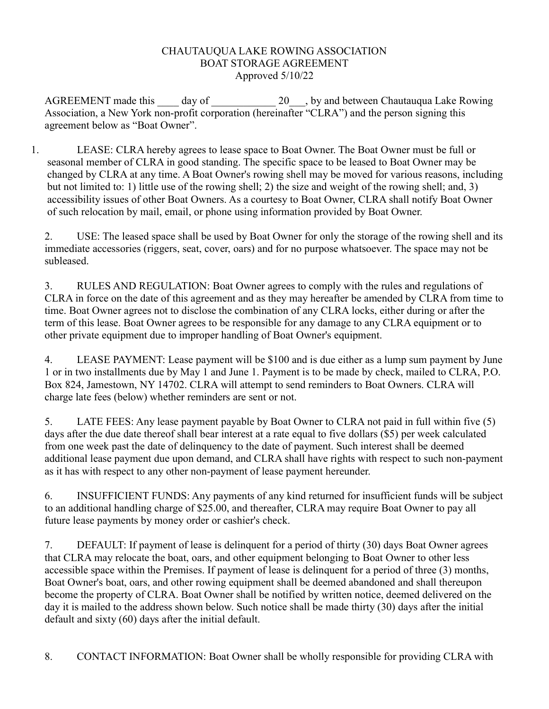## CHAUTAUQUA LAKE ROWING ASSOCIATION BOAT STORAGE AGREEMENT Approved 5/10/22

AGREEMENT made this day of 20 by and between Chautauqua Lake Rowing Association, a New York non-profit corporation (hereinafter "CLRA") and the person signing this agreement below as "Boat Owner".

1. LEASE: CLRA hereby agrees to lease space to Boat Owner. The Boat Owner must be full or seasonal member of CLRA in good standing. The specific space to be leased to Boat Owner may be changed by CLRA at any time. A Boat Owner's rowing shell may be moved for various reasons, including but not limited to: 1) little use of the rowing shell; 2) the size and weight of the rowing shell; and, 3) accessibility issues of other Boat Owners. As a courtesy to Boat Owner, CLRA shall notify Boat Owner of such relocation by mail, email, or phone using information provided by Boat Owner.

2. USE: The leased space shall be used by Boat Owner for only the storage of the rowing shell and its immediate accessories (riggers, seat, cover, oars) and for no purpose whatsoever. The space may not be subleased.

3. RULES AND REGULATION: Boat Owner agrees to comply with the rules and regulations of CLRA in force on the date of this agreement and as they may hereafter be amended by CLRA from time to time. Boat Owner agrees not to disclose the combination of any CLRA locks, either during or after the term of this lease. Boat Owner agrees to be responsible for any damage to any CLRA equipment or to other private equipment due to improper handling of Boat Owner's equipment.

4. LEASE PAYMENT: Lease payment will be \$100 and is due either as a lump sum payment by June 1 or in two installments due by May 1 and June 1. Payment is to be made by check, mailed to CLRA, P.O. Box 824, Jamestown, NY 14702. CLRA will attempt to send reminders to Boat Owners. CLRA will charge late fees (below) whether reminders are sent or not.

5. LATE FEES: Any lease payment payable by Boat Owner to CLRA not paid in full within five (5) days after the due date thereof shall bear interest at a rate equal to five dollars (\$5) per week calculated from one week past the date of delinquency to the date of payment. Such interest shall be deemed additional lease payment due upon demand, and CLRA shall have rights with respect to such non-payment as it has with respect to any other non-payment of lease payment hereunder.

6. INSUFFICIENT FUNDS: Any payments of any kind returned for insufficient funds will be subject to an additional handling charge of \$25.00, and thereafter, CLRA may require Boat Owner to pay all future lease payments by money order or cashier's check.

7. DEFAULT: If payment of lease is delinquent for a period of thirty (30) days Boat Owner agrees that CLRA may relocate the boat, oars, and other equipment belonging to Boat Owner to other less accessible space within the Premises. If payment of lease is delinquent for a period of three (3) months, Boat Owner's boat, oars, and other rowing equipment shall be deemed abandoned and shall thereupon become the property of CLRA. Boat Owner shall be notified by written notice, deemed delivered on the day it is mailed to the address shown below. Such notice shall be made thirty (30) days after the initial default and sixty (60) days after the initial default.

8. CONTACT INFORMATION: Boat Owner shall be wholly responsible for providing CLRA with